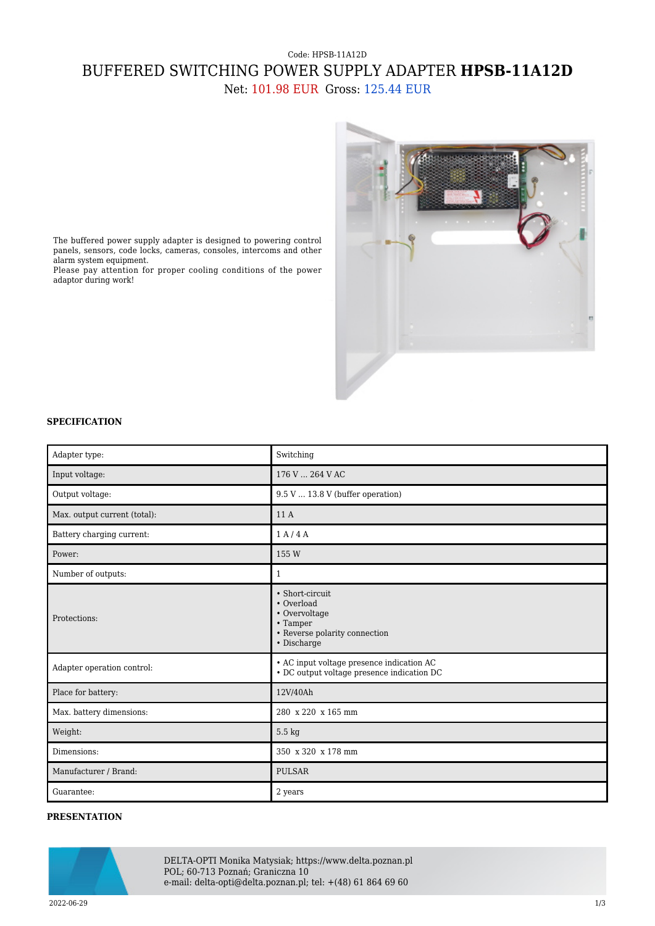## Code: HPSB-11A12D BUFFERED SWITCHING POWER SUPPLY ADAPTER **HPSB-11A12D** Net: 101.98 EUR Gross: 125.44 EUR



The buffered power supply adapter is designed to powering control panels, sensors, code locks, cameras, consoles, intercoms and other alarm system equipment.

Please pay attention for proper cooling conditions of the power adaptor during work!

## **SPECIFICATION**

| Adapter type:                | Switching                                                                                                  |
|------------------------------|------------------------------------------------------------------------------------------------------------|
| Input voltage:               | 176 V  264 V AC                                                                                            |
| Output voltage:              | $9.5 V$ 13.8 V (buffer operation)                                                                          |
| Max. output current (total): | 11 A                                                                                                       |
| Battery charging current:    | 1 A/4 A                                                                                                    |
| Power:                       | 155 W                                                                                                      |
| Number of outputs:           | $\mathbf{1}$                                                                                               |
| Protections:                 | • Short-circuit<br>• Overload<br>• Overvoltage<br>• Tamper<br>• Reverse polarity connection<br>• Discharge |
| Adapter operation control:   | • AC input voltage presence indication AC<br>• DC output voltage presence indication DC                    |
| Place for battery:           | 12V/40Ah                                                                                                   |
| Max. battery dimensions:     | 280 x 220 x 165 mm                                                                                         |
| Weight:                      | 5.5 kg                                                                                                     |
| Dimensions:                  | 350 x 320 x 178 mm                                                                                         |
| Manufacturer / Brand:        | <b>PULSAR</b>                                                                                              |
| Guarantee:                   | 2 years                                                                                                    |

## **PRESENTATION**



DELTA-OPTI Monika Matysiak; https://www.delta.poznan.pl POL; 60-713 Poznań; Graniczna 10 e-mail: delta-opti@delta.poznan.pl; tel: +(48) 61 864 69 60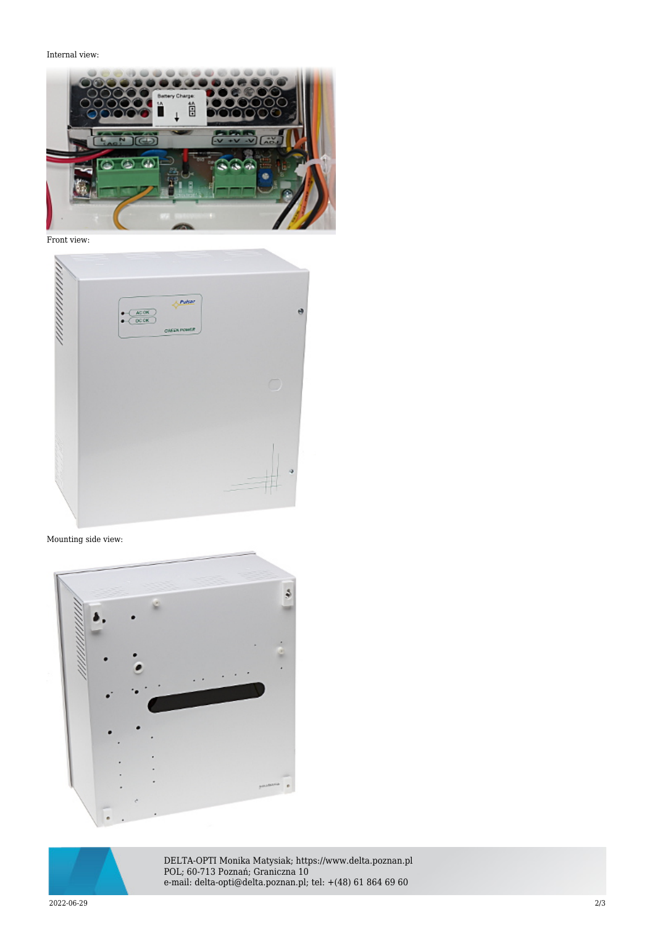Internal view:



Front view:



Mounting side view:





DELTA-OPTI Monika Matysiak; https://www.delta.poznan.pl POL; 60-713 Poznań; Graniczna 10 e-mail: delta-opti@delta.poznan.pl; tel: +(48) 61 864 69 60

2022-06-29 2/3